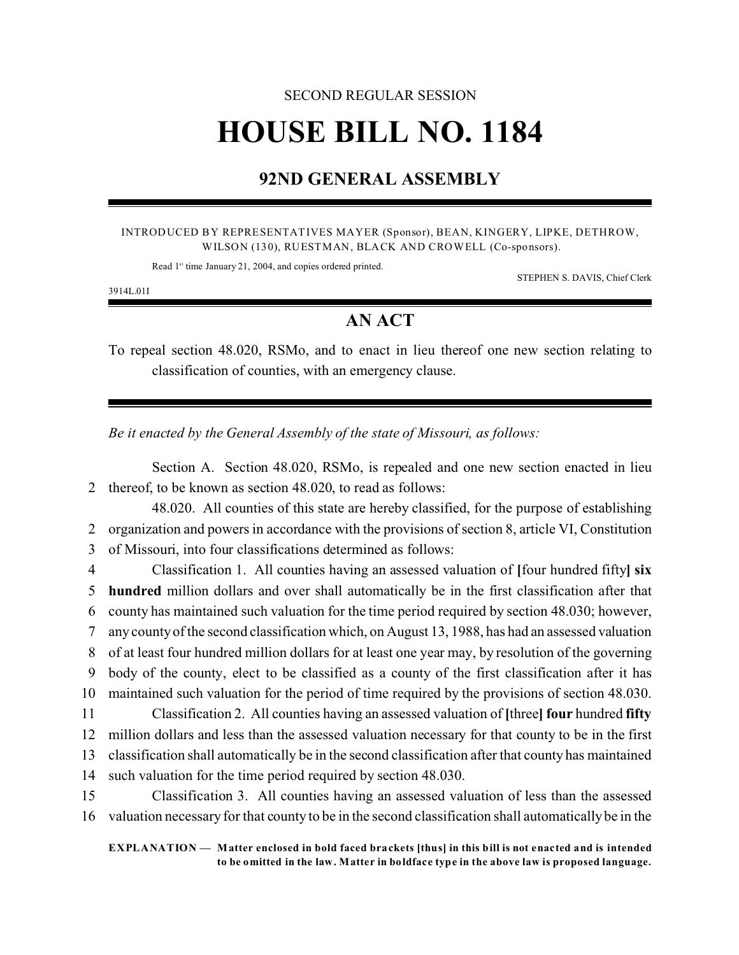## SECOND REGULAR SESSION **HOUSE BILL NO. 1184**

## **92ND GENERAL ASSEMBLY**

## INTRODUCED BY REPRESENTATIVES MAYER (Sponsor), BEAN, KINGERY, LIPKE, DETHROW, WILSON (130), RUESTMAN, BLACK AND CROWELL (Co-sponsors).

Read 1<sup>st</sup> time January 21, 2004, and copies ordered printed.

STEPHEN S. DAVIS, Chief Clerk

3914L.01I

## **AN ACT**

To repeal section 48.020, RSMo, and to enact in lieu thereof one new section relating to classification of counties, with an emergency clause.

*Be it enacted by the General Assembly of the state of Missouri, as follows:*

Section A. Section 48.020, RSMo, is repealed and one new section enacted in lieu 2 thereof, to be known as section 48.020, to read as follows:

48.020. All counties of this state are hereby classified, for the purpose of establishing 2 organization and powers in accordance with the provisions of section 8, article VI, Constitution 3 of Missouri, into four classifications determined as follows:

 Classification 1. All counties having an assessed valuation of **[**four hundred fifty**] six hundred** million dollars and over shall automatically be in the first classification after that county has maintained such valuation for the time period required by section 48.030; however, any county of the second classification which, on August 13, 1988, has had an assessed valuation of at least four hundred million dollars for at least one year may, by resolution of the governing body of the county, elect to be classified as a county of the first classification after it has maintained such valuation for the period of time required by the provisions of section 48.030. Classification 2. All counties having an assessed valuation of **[**three**] four** hundred **fifty** million dollars and less than the assessed valuation necessary for that county to be in the first classification shall automatically be in the second classification after that county has maintained such valuation for the time period required by section 48.030.

15 Classification 3. All counties having an assessed valuation of less than the assessed 16 valuation necessary for that county to be in the second classification shall automatically be in the

**EXPLANATION — Matter enclosed in bold faced brackets [thus] in this bill is not enacted and is intended to be omitted in the law. Matter in boldface type in the above law is proposed language.**